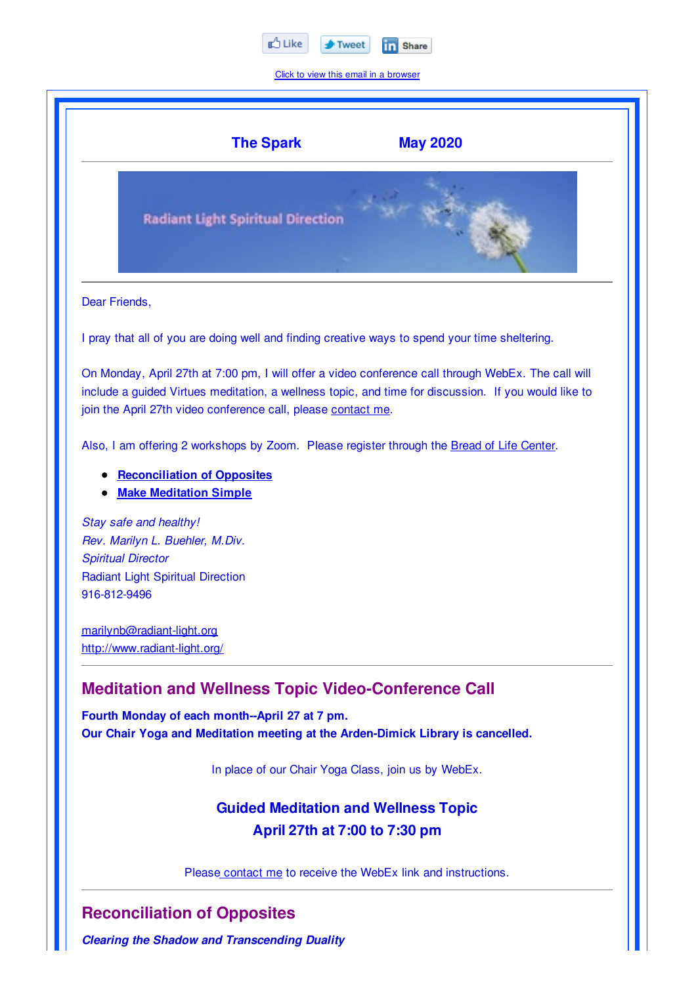

Click to view this email in a browser

|                                           | <b>The Spark</b><br><b>May 2020</b>                                                                                                                                                                                                                                          |
|-------------------------------------------|------------------------------------------------------------------------------------------------------------------------------------------------------------------------------------------------------------------------------------------------------------------------------|
|                                           | <b>Radiant Light Spiritual Direction</b>                                                                                                                                                                                                                                     |
| Dear Friends,                             |                                                                                                                                                                                                                                                                              |
|                                           | I pray that all of you are doing well and finding creative ways to spend your time sheltering.                                                                                                                                                                               |
|                                           | On Monday, April 27th at 7:00 pm, I will offer a video conference call through WebEx. The call will<br>include a guided Virtues meditation, a wellness topic, and time for discussion. If you would like to<br>join the April 27th video conference call, please contact me. |
|                                           | Also, I am offering 2 workshops by Zoom. Please register through the Bread of Life Center.                                                                                                                                                                                   |
|                                           | <b>Reconciliation of Opposites</b><br><b>Make Meditation Simple</b>                                                                                                                                                                                                          |
| <b>Spiritual Director</b><br>916-812-9496 | Stay safe and healthy!<br>Rev. Marilyn L. Buehler, M.Div.<br><b>Radiant Light Spiritual Direction</b>                                                                                                                                                                        |
|                                           | marilynb@radiant-light.org<br>http://www.radiant-light.org/                                                                                                                                                                                                                  |
|                                           | <b>Meditation and Wellness Topic Video-Conference Call</b>                                                                                                                                                                                                                   |
|                                           | Fourth Monday of each month--April 27 at 7 pm.<br>Our Chair Yoga and Meditation meeting at the Arden-Dimick Library is cancelled.                                                                                                                                            |
|                                           | In place of our Chair Yoga Class, join us by WebEx.                                                                                                                                                                                                                          |
|                                           | <b>Guided Meditation and Wellness Topic</b>                                                                                                                                                                                                                                  |
|                                           | April 27th at 7:00 to 7:30 pm                                                                                                                                                                                                                                                |
|                                           |                                                                                                                                                                                                                                                                              |

*Clearing the Shadow and Transcending Duality*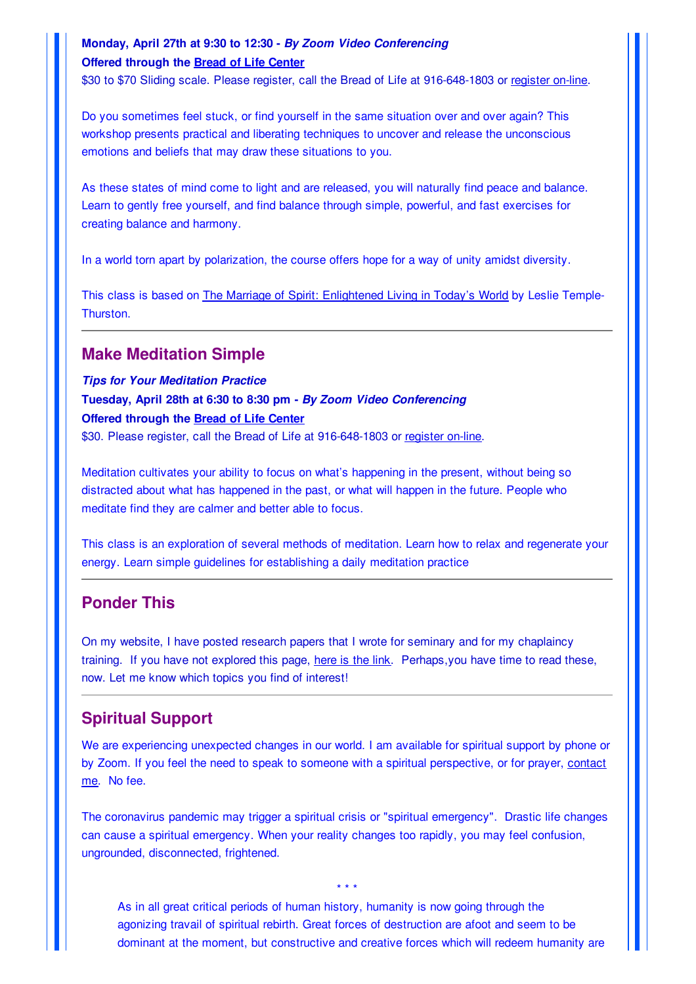#### **Monday, April 27th at 9:30 to 12:30 -** *By Zoom Video Conferencing* **Offered through the Bread of Life Center**

\$30 to \$70 Sliding scale. Please register, call the Bread of Life at 916-648-1803 or register on-line.

Do you sometimes feel stuck, or find yourself in the same situation over and over again? This workshop presents practical and liberating techniques to uncover and release the unconscious emotions and beliefs that may draw these situations to you.

As these states of mind come to light and are released, you will naturally find peace and balance. Learn to gently free yourself, and find balance through simple, powerful, and fast exercises for creating balance and harmony.

In a world torn apart by polarization, the course offers hope for a way of unity amidst diversity.

This class is based on The Marriage of Spirit: Enlightened Living in Today's World by Leslie Temple-Thurston.

#### **Make Meditation Simple**

*Tips for Your Meditation Practice*

**Tuesday, April 28th at 6:30 to 8:30 pm -** *By Zoom Video Conferencing* **Offered through the Bread of Life Center**

\$30. Please register, call the Bread of Life at 916-648-1803 or register on-line.

Meditation cultivates your ability to focus on what's happening in the present, without being so distracted about what has happened in the past, or what will happen in the future. People who meditate find they are calmer and better able to focus.

This class is an exploration of several methods of meditation. Learn how to relax and regenerate your energy. Learn simple guidelines for establishing a daily meditation practice

### **Ponder This**

On my website, I have posted research papers that I wrote for seminary and for my chaplaincy training. If you have not explored this page, here is the link. Perhaps, you have time to read these, now. Let me know which topics you find of interest!

### **Spiritual Support**

We are experiencing unexpected changes in our world. I am available for spiritual support by phone or by Zoom. If you feel the need to speak to someone with a spiritual perspective, or for prayer, contact me. No fee.

The coronavirus pandemic may trigger a spiritual crisis or "spiritual emergency". Drastic life changes can cause a spiritual emergency. When your reality changes too rapidly, you may feel confusion, ungrounded, disconnected, frightened.

\* \* \*

As in all great critical periods of human history, humanity is now going through the agonizing travail of spiritual rebirth. Great forces of destruction are afoot and seem to be dominant at the moment, but constructive and creative forces which will redeem humanity are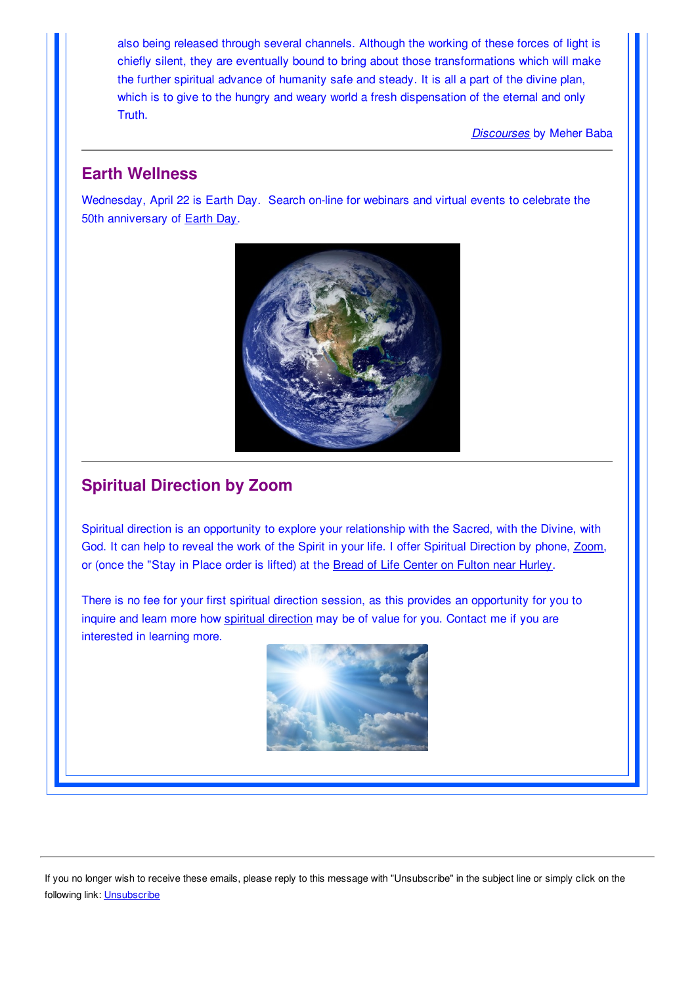also being released through several channels. Although the working of these forces of light is chiefly silent, they are eventually bound to bring about those transformations which will make the further spiritual advance of humanity safe and steady. It is all a part of the divine plan, which is to give to the hungry and weary world a fresh dispensation of the eternal and only Truth.

*Discourses* by Meher Baba

## **Earth Wellness**

Wednesday, April 22 is Earth Day. Search on-line for webinars and virtual events to celebrate the 50th anniversary of Earth Day.



# **Spiritual Direction by Zoom**

Spiritual direction is an opportunity to explore your relationship with the Sacred, with the Divine, with God. It can help to reveal the work of the Spirit in your life. I offer Spiritual Direction by phone, Zoom, or (once the "Stay in Place order is lifted) at the Bread of Life Center on Fulton near Hurley.

There is no fee for your first spiritual direction session, as this provides an opportunity for you to inquire and learn more how spiritual direction may be of value for you. Contact me if you are interested in learning more.



If you no longer wish to receive these emails, please reply to this message with "Unsubscribe" in the subject line or simply click on the following link: Unsubscribe